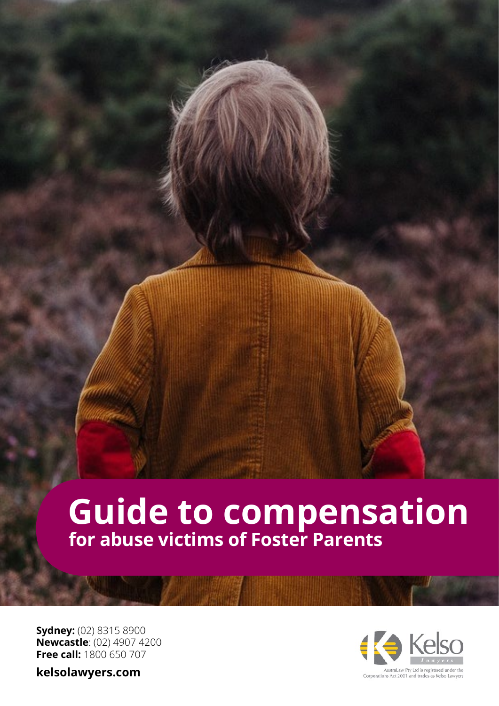# **Guide to compensation for abuse victims of Foster Parents**

**Sydney:** (02) 8315 8900 **Newcastle**: (02) 4907 4200 **Free call:** 1800 650 707

**kelsolawyers.com**

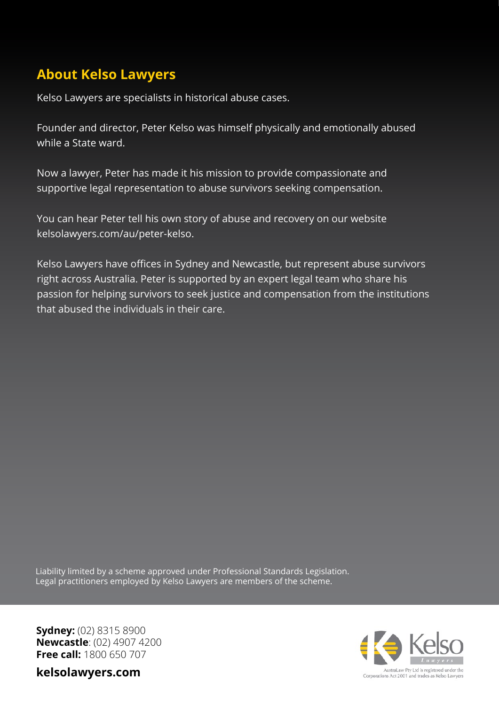# **About Kelso Lawyers**

Kelso Lawyers are specialists in historical abuse cases.

Founder and director, Peter Kelso was himself physically and emotionally abused while a State ward.

Now a lawyer, Peter has made it his mission to provide compassionate and supportive legal representation to abuse survivors seeking compensation.

You can hear Peter tell his own story of abuse and recovery on our website kelsolawyers.com/au/peter-kelso.

Kelso Lawyers have offices in Sydney and Newcastle, but represent abuse survivors right across Australia. Peter is supported by an expert legal team who share his passion for helping survivors to seek justice and compensation from the institutions that abused the individuals in their care.

Liability limited by a scheme approved under Professional Standards Legislation. Legal practitioners employed by Kelso Lawyers are members of the scheme.

**Sydney:** (02) 8315 8900 **Newcastle**: (02) 4907 4200 **Free call:** 1800 650 707



**kelsolawyers.com**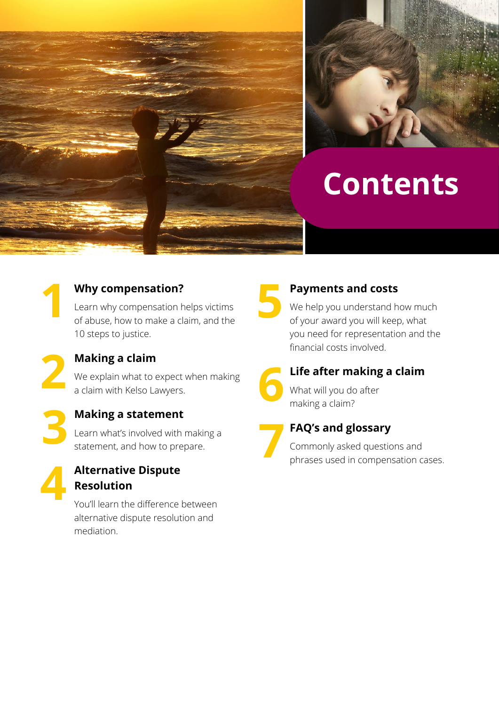

# **Contents**



### **Why compensation?**

Learn why compensation helps victims of abuse, how to make a claim, and the 10 steps to justice.

**Making a claim** We explain what to expect when making a claim with Kelso Lawyers.

**3**

**2**

# **Making a statement**

Learn what's involved with making a statement, and how to prepare.



# **Alternative Dispute Resolution**

You'll learn the difference between alternative dispute resolution and mediation.

**5**

### **Payments and costs**

We help you understand how much of your award you will keep, what you need for representation and the financial costs involved.



# **Life after making a claim**

What will you do after making a claim?



### **FAQ's and glossary**

Commonly asked questions and phrases used in compensation cases.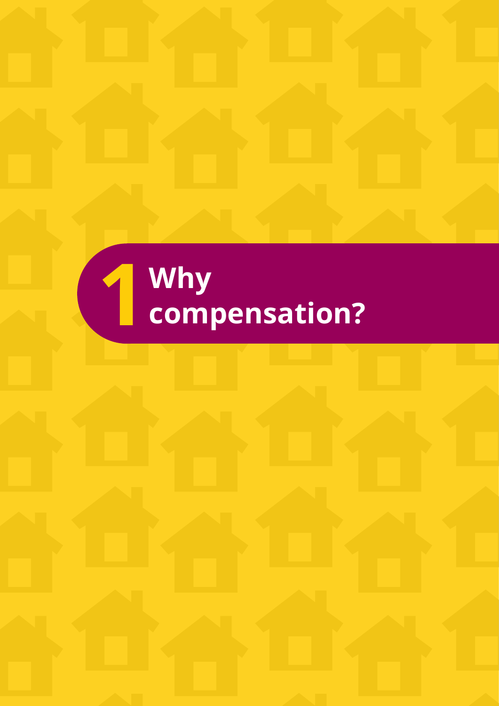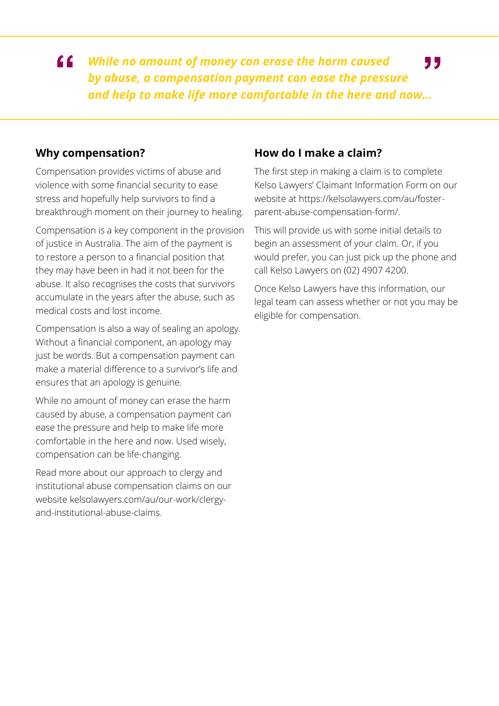*While no amount of money can erase the harm caused by abuse, a compensation payment can ease the pressure and help to make life more comfortable in the here and now...* **" "**

#### **Why compensation?**

Compensation provides victims of abuse and violence with some financial security to ease stress and hopefully help survivors to find a breakthrough moment on their journey to healing.

Compensation is a key component in the provision of justice in Australia. The aim of the payment is to restore a person to a financial position that they may have been in had it not been for the abuse. It also recognises the costs that survivors accumulate in the years after the abuse, such as medical costs and lost income.

Compensation is also a way of sealing an apology. Without a financial component, an apology may just be words. But a compensation payment can make a material difference to a survivor's life and ensures that an apology is genuine.

While no amount of money can erase the harm caused by abuse, a compensation payment can ease the pressure and help to make life more comfortable in the here and now. Used wisely, compensation can be life-changing.

Read more about our approach to clergy and institutional abuse compensation claims on our website kelsolawyers.com/au/our-work/clergyand-institutional-abuse-claims.

### **How do I make a claim?**

The first step in making a claim is to complete Kelso Lawyers' Claimant Information Form on our website at https://kelsolawyers.com/au/fosterparent-abuse-compensation-form/.

This will provide us with some initial details to begin an assessment of your claim. Or, if you would prefer, you can just pick up the phone and call Kelso Lawyers on (02) 4907 4200.

Once Kelso Lawyers have this information, our legal team can assess whether or not you may be eligible for compensation.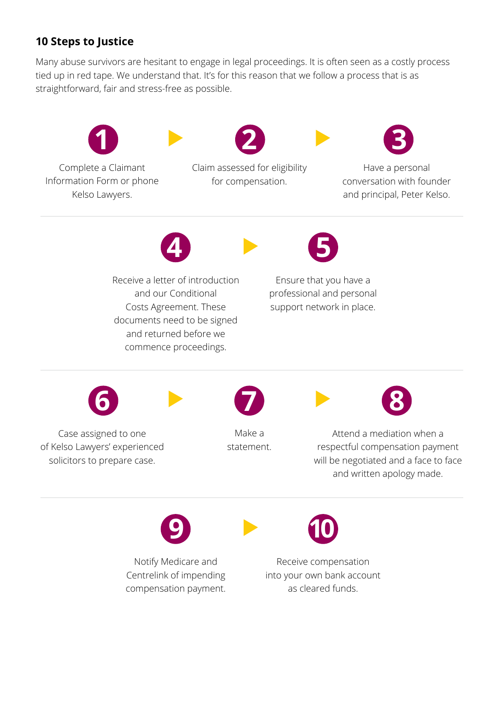### **10 Steps to Justice**

Many abuse survivors are hesitant to engage in legal proceedings. It is often seen as a costly process tied up in red tape. We understand that. It's for this reason that we follow a process that is as straightforward, fair and stress-free as possible.



Complete a Claimant Information Form or phone Kelso Lawyers.



for compensation.



Claim assessed for eligibility



Have a personal conversation with founder and principal, Peter Kelso.





Receive a letter of introduction and our Conditional Costs Agreement. These documents need to be signed and returned before we commence proceedings.

Ensure that you have a professional and personal support network in place.



Case assigned to one of Kelso Lawyers' experienced solicitors to prepare case.



Make a statement.



Attend a mediation when a respectful compensation payment will be negotiated and a face to face and written apology made.





Notify Medicare and Centrelink of impending compensation payment.

Receive compensation into your own bank account as cleared funds.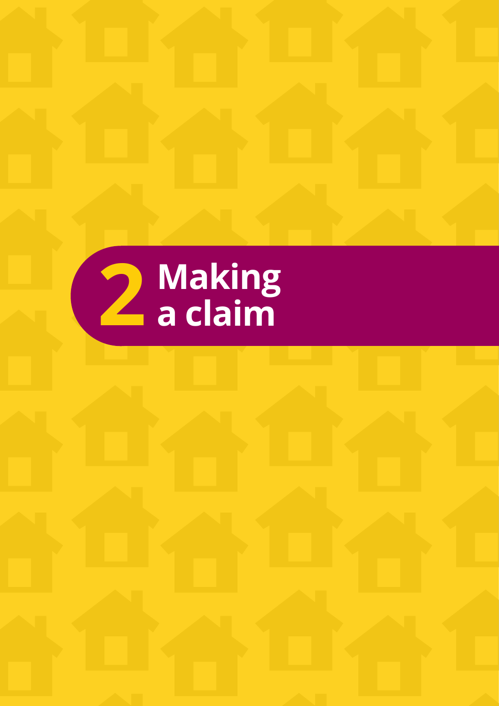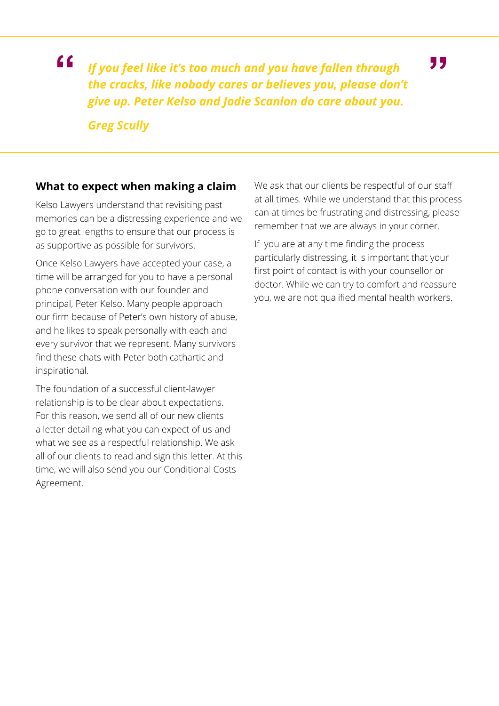**"**

*If you feel like it's too much and you have fallen through the cracks, like nobody cares or believes you, please don't give up. Peter Kelso and Jodie Scanlon do care about you.*

*Greg Scully*

### **What to expect when making a claim**

Kelso Lawyers understand that revisiting past memories can be a distressing experience and we go to great lengths to ensure that our process is as supportive as possible for survivors.

Once Kelso Lawyers have accepted your case, a time will be arranged for you to have a personal phone conversation with our founder and principal, Peter Kelso. Many people approach our firm because of Peter's own history of abuse, and he likes to speak personally with each and every survivor that we represent. Many survivors find these chats with Peter both cathartic and inspirational.

The foundation of a successful client-lawyer relationship is to be clear about expectations. For this reason, we send all of our new clients a letter detailing what you can expect of us and what we see as a respectful relationship. We ask all of our clients to read and sign this letter. At this time, we will also send you our Conditional Costs Agreement.

We ask that our clients be respectful of our staff at all times. While we understand that this process can at times be frustrating and distressing, please remember that we are always in your corner.

If you are at any time finding the process particularly distressing, it is important that your first point of contact is with your counsellor or doctor. While we can try to comfort and reassure you, we are not qualified mental health workers.

**"**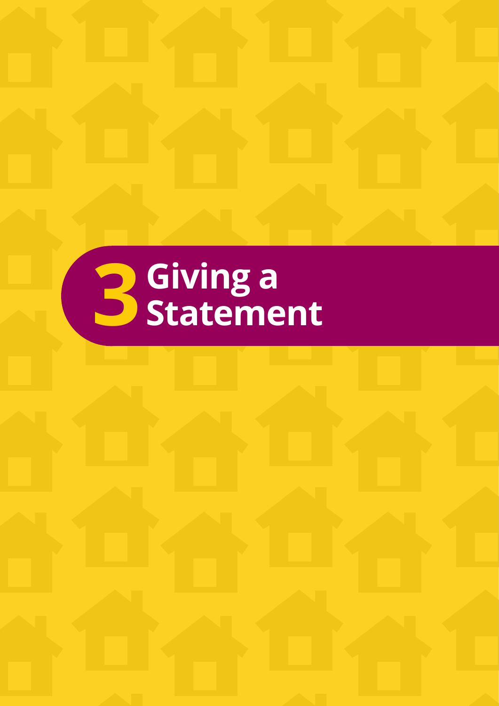# **3 Giving a Statement**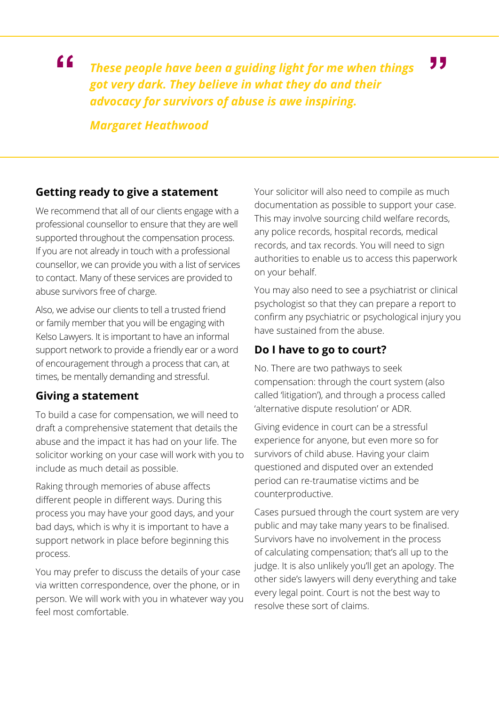**"**

*These people have been a guiding light for me when things got very dark. They believe in what they do and their advocacy for survivors of abuse is awe inspiring.* **"**

*Margaret Heathwood*

### **Getting ready to give a statement**

We recommend that all of our clients engage with a professional counsellor to ensure that they are well supported throughout the compensation process. If you are not already in touch with a professional counsellor, we can provide you with a list of services to contact. Many of these services are provided to abuse survivors free of charge.

Also, we advise our clients to tell a trusted friend or family member that you will be engaging with Kelso Lawyers. It is important to have an informal support network to provide a friendly ear or a word of encouragement through a process that can, at times, be mentally demanding and stressful.

### **Giving a statement**

To build a case for compensation, we will need to draft a comprehensive statement that details the abuse and the impact it has had on your life. The solicitor working on your case will work with you to include as much detail as possible.

Raking through memories of abuse affects different people in different ways. During this process you may have your good days, and your bad days, which is why it is important to have a support network in place before beginning this process.

You may prefer to discuss the details of your case via written correspondence, over the phone, or in person. We will work with you in whatever way you feel most comfortable.

Your solicitor will also need to compile as much documentation as possible to support your case. This may involve sourcing child welfare records, any police records, hospital records, medical records, and tax records. You will need to sign authorities to enable us to access this paperwork on your behalf.

You may also need to see a psychiatrist or clinical psychologist so that they can prepare a report to confirm any psychiatric or psychological injury you have sustained from the abuse.

### **Do I have to go to court?**

No. There are two pathways to seek compensation: through the court system (also called 'litigation'), and through a process called 'alternative dispute resolution' or ADR.

Giving evidence in court can be a stressful experience for anyone, but even more so for survivors of child abuse. Having your claim questioned and disputed over an extended period can re-traumatise victims and be counterproductive.

Cases pursued through the court system are very public and may take many years to be finalised. Survivors have no involvement in the process of calculating compensation; that's all up to the judge. It is also unlikely you'll get an apology. The other side's lawyers will deny everything and take every legal point. Court is not the best way to resolve these sort of claims.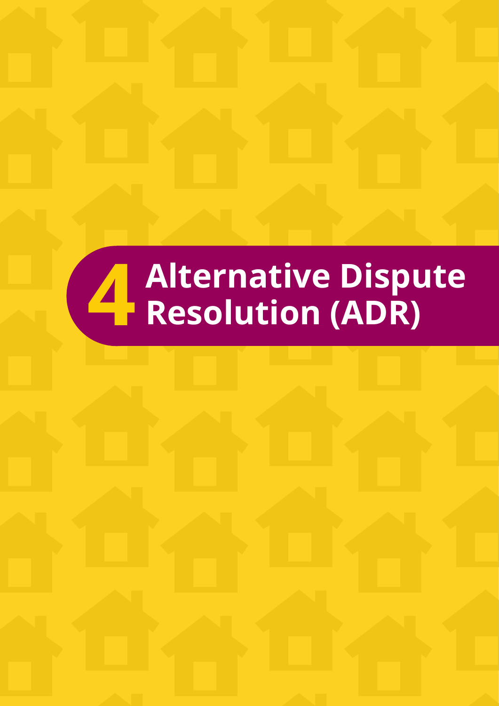# **4 Alternative Dispute Resolution (ADR)**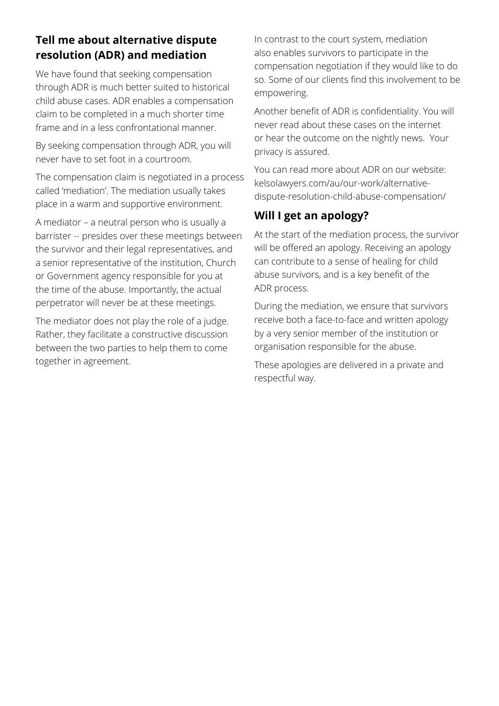## **Tell me about alternative dispute resolution (ADR) and mediation**

We have found that seeking compensation through ADR is much better suited to historical child abuse cases. ADR enables a compensation claim to be completed in a much shorter time frame and in a less confrontational manner.

By seeking compensation through ADR, you will never have to set foot in a courtroom.

The compensation claim is negotiated in a process called 'mediation'. The mediation usually takes place in a warm and supportive environment.

A mediator – a neutral person who is usually a barrister -- presides over these meetings between the survivor and their legal representatives, and a senior representative of the institution, Church or Government agency responsible for you at the time of the abuse. Importantly, the actual perpetrator will never be at these meetings.

The mediator does not play the role of a judge. Rather, they facilitate a constructive discussion between the two parties to help them to come together in agreement.

In contrast to the court system, mediation also enables survivors to participate in the compensation negotiation if they would like to do so. Some of our clients find this involvement to be empowering.

Another benefit of ADR is confidentiality. You will never read about these cases on the internet or hear the outcome on the nightly news. Your privacy is assured.

You can read more about ADR on our website: kelsolawyers.com/au/our-work/alternativedispute-resolution-child-abuse-compensation/

# **Will I get an apology?**

At the start of the mediation process, the survivor will be offered an apology. Receiving an apology can contribute to a sense of healing for child abuse survivors, and is a key benefit of the ADR process.

During the mediation, we ensure that survivors receive both a face-to-face and written apology by a very senior member of the institution or organisation responsible for the abuse.

These apologies are delivered in a private and respectful way.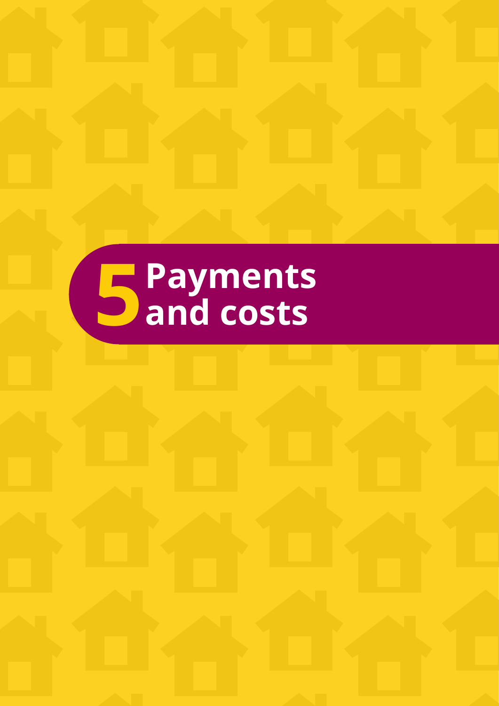# **5** Payments<br>and costs **and costs**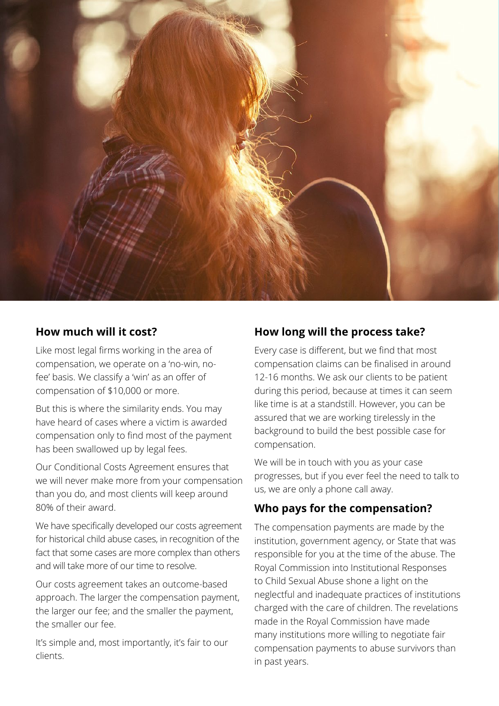

### **How much will it cost?**

Like most legal firms working in the area of compensation, we operate on a 'no-win, nofee' basis. We classify a 'win' as an offer of compensation of \$10,000 or more.

But this is where the similarity ends. You may have heard of cases where a victim is awarded compensation only to find most of the payment has been swallowed up by legal fees.

Our Conditional Costs Agreement ensures that we will never make more from your compensation than you do, and most clients will keep around 80% of their award.

We have specifically developed our costs agreement for historical child abuse cases, in recognition of the fact that some cases are more complex than others and will take more of our time to resolve.

Our costs agreement takes an outcome-based approach. The larger the compensation payment, the larger our fee; and the smaller the payment, the smaller our fee.

It's simple and, most importantly, it's fair to our clients.

### **How long will the process take?**

Every case is different, but we find that most compensation claims can be finalised in around 12-16 months. We ask our clients to be patient during this period, because at times it can seem like time is at a standstill. However, you can be assured that we are working tirelessly in the background to build the best possible case for compensation.

We will be in touch with you as your case progresses, but if you ever feel the need to talk to us, we are only a phone call away.

### **Who pays for the compensation?**

The compensation payments are made by the institution, government agency, or State that was responsible for you at the time of the abuse. The Royal Commission into Institutional Responses to Child Sexual Abuse shone a light on the neglectful and inadequate practices of institutions charged with the care of children. The revelations made in the Royal Commission have made many institutions more willing to negotiate fair compensation payments to abuse survivors than in past years.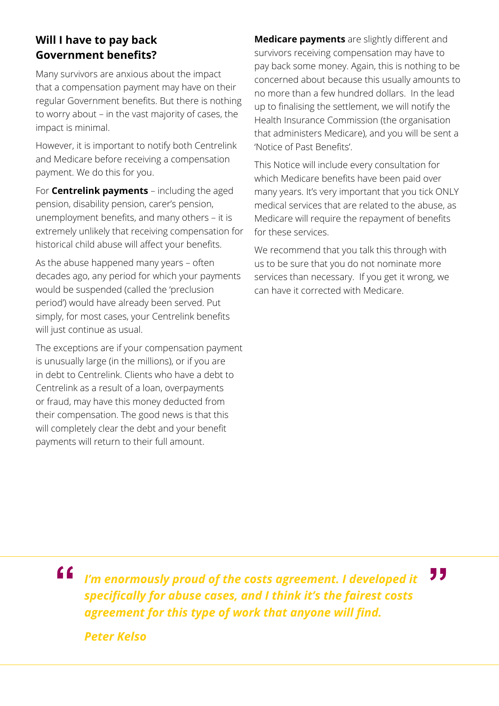## **Will I have to pay back Government benefits?**

Many survivors are anxious about the impact that a compensation payment may have on their regular Government benefits. But there is nothing to worry about – in the vast majority of cases, the impact is minimal.

However, it is important to notify both Centrelink and Medicare before receiving a compensation payment. We do this for you.

For **Centrelink payments** – including the aged pension, disability pension, carer's pension, unemployment benefits, and many others – it is extremely unlikely that receiving compensation for historical child abuse will affect your benefits.

As the abuse happened many years – often decades ago, any period for which your payments would be suspended (called the 'preclusion period') would have already been served. Put simply, for most cases, your Centrelink benefits will just continue as usual.

The exceptions are if your compensation payment is unusually large (in the millions), or if you are in debt to Centrelink. Clients who have a debt to Centrelink as a result of a loan, overpayments or fraud, may have this money deducted from their compensation. The good news is that this will completely clear the debt and your benefit payments will return to their full amount.

**Medicare payments** are slightly different and survivors receiving compensation may have to pay back some money. Again, this is nothing to be concerned about because this usually amounts to no more than a few hundred dollars. In the lead up to finalising the settlement, we will notify the Health Insurance Commission (the organisation that administers Medicare), and you will be sent a 'Notice of Past Benefits'.

This Notice will include every consultation for which Medicare benefits have been paid over many years. It's very important that you tick ONLY medical services that are related to the abuse, as Medicare will require the repayment of benefits for these services.

We recommend that you talk this through with us to be sure that you do not nominate more services than necessary. If you get it wrong, we can have it corrected with Medicare.

*I'm enormously proud of the costs agreement. I developed it specifically for abuse cases, and I think it's the fairest costs agreement for this type of work that anyone will find.* **" "**

*Peter Kelso*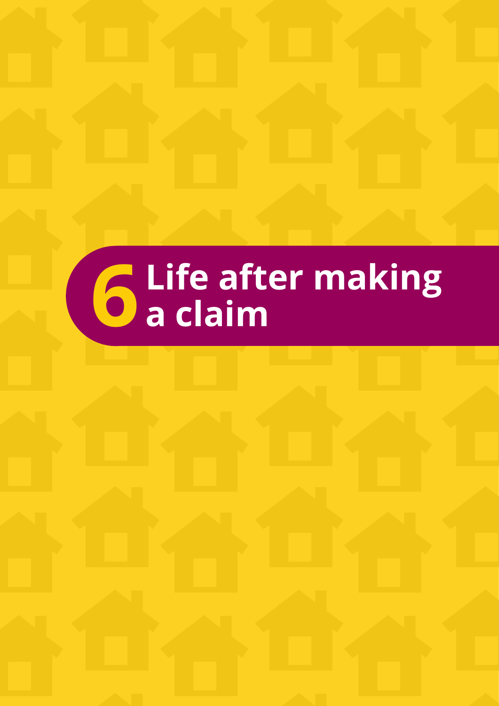# **6** Life after making<br>**6** a claim **a claim**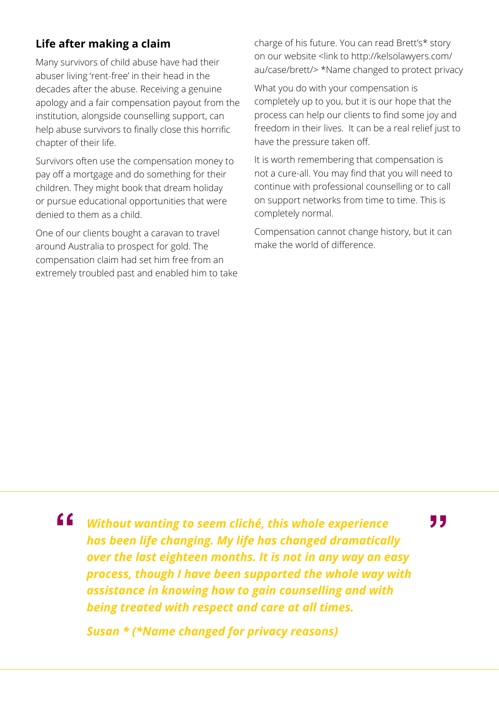## **Life after making a claim**

Many survivors of child abuse have had their abuser living 'rent-free' in their head in the decades after the abuse. Receiving a genuine apology and a fair compensation payout from the institution, alongside counselling support, can help abuse survivors to finally close this horrific chapter of their life.

Survivors often use the compensation money to pay off a mortgage and do something for their children. They might book that dream holiday or pursue educational opportunities that were denied to them as a child.

One of our clients bought a caravan to travel around Australia to prospect for gold. The compensation claim had set him free from an extremely troubled past and enabled him to take charge of his future. You can read Brett's\* story on our website <link to http://kelsolawyers.com/ au/case/brett/> \*Name changed to protect privacy

What you do with your compensation is completely up to you, but it is our hope that the process can help our clients to find some joy and freedom in their lives. It can be a real relief just to have the pressure taken off.

It is worth remembering that compensation is not a cure-all. You may find that you will need to continue with professional counselling or to call on support networks from time to time. This is completely normal.

Compensation cannot change history, but it can make the world of difference.

*Without wanting to seem cliché, this whole experience has been life changing. My life has changed dramatically over the last eighteen months. It is not in any way an easy process, though I have been supported the whole way with assistance in knowing how to gain counselling and with being treated with respect and care at all times.* **"**

*Susan \* (\*Name changed for privacy reasons)*

**"**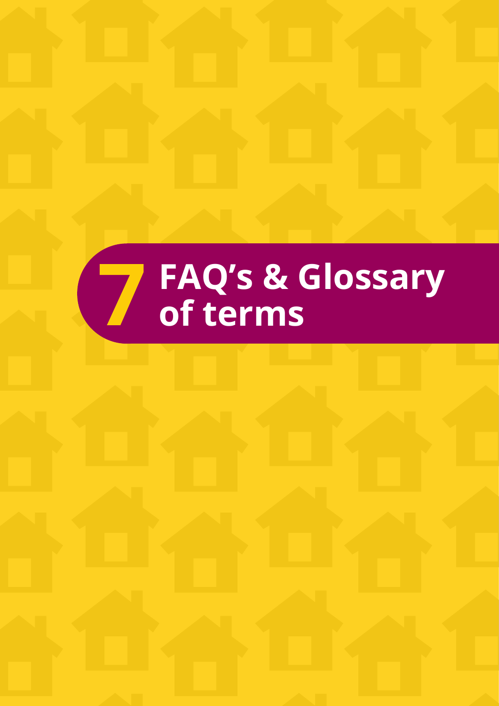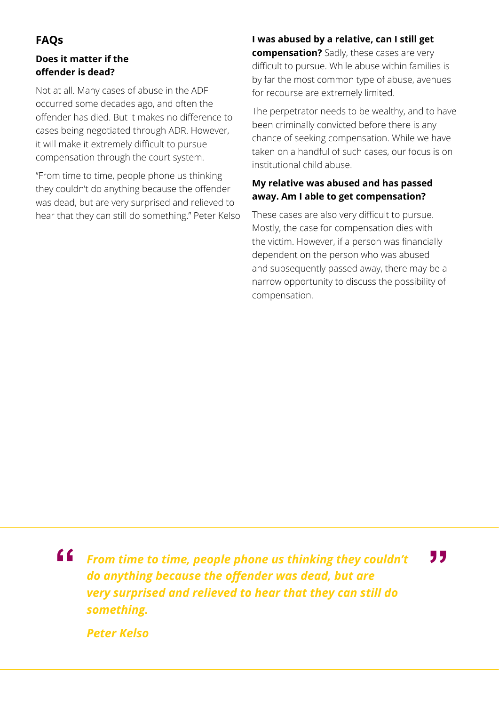# **FAQs**

### **Does it matter if the offender is dead?**

Not at all. Many cases of abuse in the ADF occurred some decades ago, and often the offender has died. But it makes no difference to cases being negotiated through ADR. However, it will make it extremely difficult to pursue compensation through the court system.

"From time to time, people phone us thinking they couldn't do anything because the offender was dead, but are very surprised and relieved to hear that they can still do something." Peter Kelso

### **I was abused by a relative, can I still get**

**compensation?** Sadly, these cases are very difficult to pursue. While abuse within families is by far the most common type of abuse, avenues for recourse are extremely limited.

The perpetrator needs to be wealthy, and to have been criminally convicted before there is any chance of seeking compensation. While we have taken on a handful of such cases, our focus is on institutional child abuse.

#### **My relative was abused and has passed away. Am I able to get compensation?**

These cases are also very difficult to pursue. Mostly, the case for compensation dies with the victim. However, if a person was financially dependent on the person who was abused and subsequently passed away, there may be a narrow opportunity to discuss the possibility of compensation.

*From time to time, people phone us thinking they couldn't do anything because the offender was dead, but are very surprised and relieved to hear that they can still do something.*  **" "**

*Peter Kelso*